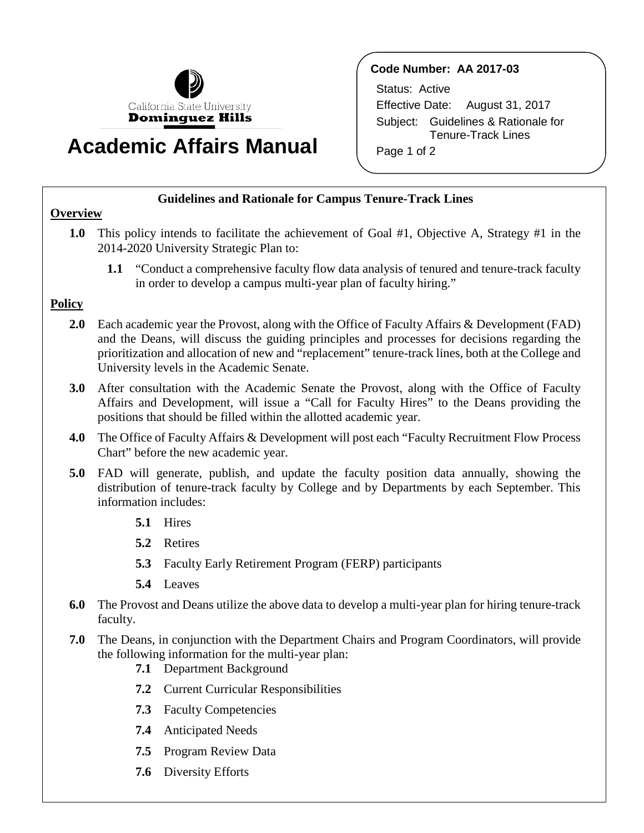

# **Academic Affairs Manual**

# **Code Number: AA 2017-03**

Status: Active Effective Date: August 31, 2017 Subject: Guidelines & Rationale for Tenure-Track Lines Page 1 of 2

#### **Guidelines and Rationale for Campus Tenure-Track Lines**

### **Overview**

- **1.0** This policy intends to facilitate the achievement of Goal #1, Objective A, Strategy #1 in the 2014-2020 University Strategic Plan to:
	- **1.1** "Conduct a comprehensive faculty flow data analysis of tenured and tenure-track faculty in order to develop a campus multi-year plan of faculty hiring."

# **Policy**

- **2.0** Each academic year the Provost, along with the Office of Faculty Affairs & Development (FAD) and the Deans, will discuss the guiding principles and processes for decisions regarding the prioritization and allocation of new and "replacement" tenure-track lines, both at the College and University levels in the Academic Senate.
- **3.0** After consultation with the Academic Senate the Provost, along with the Office of Faculty Affairs and Development, will issue a "Call for Faculty Hires" to the Deans providing the positions that should be filled within the allotted academic year.
- **4.0** The Office of Faculty Affairs & Development will post each "Faculty Recruitment Flow Process Chart" before the new academic year.
- **5.0** FAD will generate, publish, and update the faculty position data annually, showing the distribution of tenure-track faculty by College and by Departments by each September. This information includes:
	- **5.1** Hires
	- **5.2** Retires
	- **5.3** Faculty Early Retirement Program (FERP) participants
	- **5.4** Leaves
- **6.0** The Provost and Deans utilize the above data to develop a multi-year plan for hiring tenure-track faculty.
- **7.0** The Deans, in conjunction with the Department Chairs and Program Coordinators, will provide the following information for the multi-year plan:
	- **7.1** Department Background
	- **7.2** Current Curricular Responsibilities
	- **7.3** Faculty Competencies
	- **7.4** Anticipated Needs
	- **7.5** Program Review Data
	- **7.6** Diversity Efforts